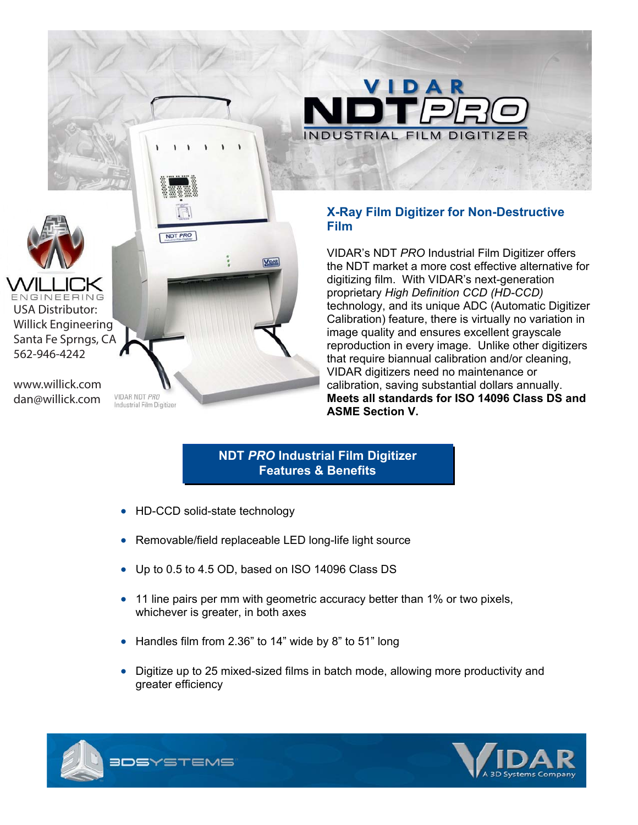

## **X-Ray Film Digitizer for Non-Destructive Film**

**FILM DIGIT** 

VIDAR

VIDAR's NDT *PRO* Industrial Film Digitizer offers the NDT market a more cost effective alternative for digitizing film. With VIDAR's next-generation proprietary *High Definition CCD (HD-CCD)* technology, and its unique ADC (Automatic Digitizer Calibration) feature, there is virtually no variation in image quality and ensures excellent grayscale reproduction in every image. Unlike other digitizers that require biannual calibration and/or cleaning, VIDAR digitizers need no maintenance or calibration, saving substantial dollars annually. **Meets all standards for ISO 14096 Class DS and ASME Section V.**

## **NDT** *PRO* **Industrial Film Digitizer Features & Benefits**

- HD-CCD solid-state technology
- Removable/field replaceable LED long-life light source
- Up to 0.5 to 4.5 OD, based on ISO 14096 Class DS
- $\bullet$  11 line pairs per mm with geometric accuracy better than 1% or two pixels, whichever is greater, in both axes
- Handles film from 2.36" to 14" wide by 8" to 51" long
- Digitize up to 25 mixed-sized films in batch mode, allowing more productivity and greater efficiency